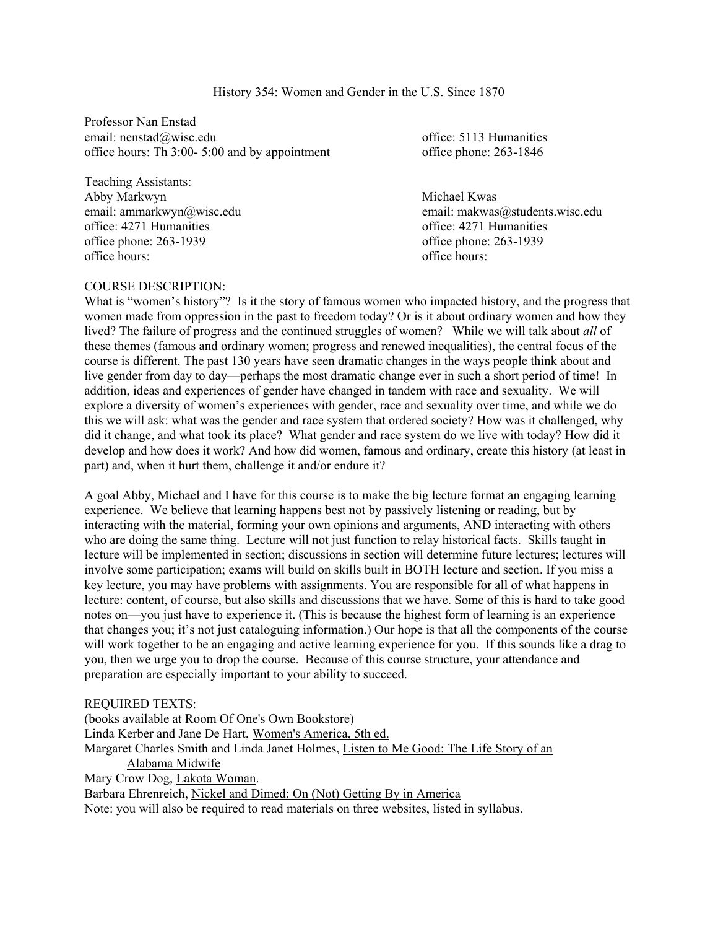History 354: Women and Gender in the U.S. Since 1870

Professor Nan Enstad email: nenstad@wisc.edu office: 5113 Humanities office hours: Th 3:00- 5:00 and by appointment office phone: 263-1846

Teaching Assistants: Abby Markwyn **Michael Kwas** Michael Kwas **Michael Kwas** office: 4271 Humanities office: 4271 Humanities office phone: 263-1939 office phone: 263-1939 office hours: office hours:

email: ammarkwyn@wisc.edu email: makwas@students.wisc.edu

### COURSE DESCRIPTION:

What is "women's history"? Is it the story of famous women who impacted history, and the progress that women made from oppression in the past to freedom today? Or is it about ordinary women and how they lived? The failure of progress and the continued struggles of women? While we will talk about *all* of these themes (famous and ordinary women; progress and renewed inequalities), the central focus of the course is different. The past 130 years have seen dramatic changes in the ways people think about and live gender from day to day—perhaps the most dramatic change ever in such a short period of time! In addition, ideas and experiences of gender have changed in tandem with race and sexuality. We will explore a diversity of women's experiences with gender, race and sexuality over time, and while we do this we will ask: what was the gender and race system that ordered society? How was it challenged, why did it change, and what took its place? What gender and race system do we live with today? How did it develop and how does it work? And how did women, famous and ordinary, create this history (at least in part) and, when it hurt them, challenge it and/or endure it?

A goal Abby, Michael and I have for this course is to make the big lecture format an engaging learning experience. We believe that learning happens best not by passively listening or reading, but by interacting with the material, forming your own opinions and arguments, AND interacting with others who are doing the same thing. Lecture will not just function to relay historical facts. Skills taught in lecture will be implemented in section; discussions in section will determine future lectures; lectures will involve some participation; exams will build on skills built in BOTH lecture and section. If you miss a key lecture, you may have problems with assignments. You are responsible for all of what happens in lecture: content, of course, but also skills and discussions that we have. Some of this is hard to take good notes on—you just have to experience it. (This is because the highest form of learning is an experience that changes you; it's not just cataloguing information.) Our hope is that all the components of the course will work together to be an engaging and active learning experience for you. If this sounds like a drag to you, then we urge you to drop the course. Because of this course structure, your attendance and preparation are especially important to your ability to succeed.

### REQUIRED TEXTS:

(books available at Room Of One's Own Bookstore) Linda Kerber and Jane De Hart, Women's America, 5th ed. Margaret Charles Smith and Linda Janet Holmes, Listen to Me Good: The Life Story of an Alabama Midwife Mary Crow Dog, Lakota Woman. Barbara Ehrenreich, Nickel and Dimed: On (Not) Getting By in America Note: you will also be required to read materials on three websites, listed in syllabus.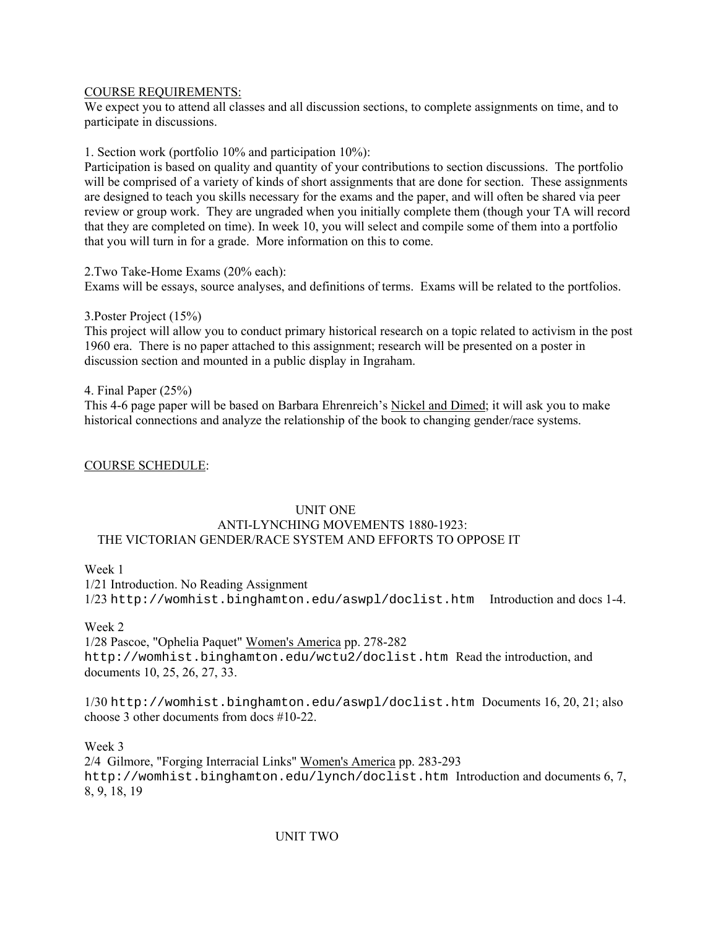### COURSE REQUIREMENTS:

We expect you to attend all classes and all discussion sections, to complete assignments on time, and to participate in discussions.

1. Section work (portfolio 10% and participation 10%):

Participation is based on quality and quantity of your contributions to section discussions. The portfolio will be comprised of a variety of kinds of short assignments that are done for section. These assignments are designed to teach you skills necessary for the exams and the paper, and will often be shared via peer review or group work. They are ungraded when you initially complete them (though your TA will record that they are completed on time). In week 10, you will select and compile some of them into a portfolio that you will turn in for a grade. More information on this to come.

2.Two Take-Home Exams (20% each): Exams will be essays, source analyses, and definitions of terms. Exams will be related to the portfolios.

### 3.Poster Project (15%)

This project will allow you to conduct primary historical research on a topic related to activism in the post 1960 era. There is no paper attached to this assignment; research will be presented on a poster in discussion section and mounted in a public display in Ingraham.

### 4. Final Paper (25%)

This 4-6 page paper will be based on Barbara Ehrenreich's Nickel and Dimed; it will ask you to make historical connections and analyze the relationship of the book to changing gender/race systems.

## COURSE SCHEDULE:

## UNIT ONE

### ANTI-LYNCHING MOVEMENTS 1880-1923: THE VICTORIAN GENDER/RACE SYSTEM AND EFFORTS TO OPPOSE IT

Week 1

1/21 Introduction. No Reading Assignment 1/23 http://womhist.binghamton.edu/aswpl/doclist.htm Introduction and docs 1-4.

## Week 2

1/28 Pascoe, "Ophelia Paquet" Women's America pp. 278-282 http://womhist.binghamton.edu/wctu2/doclist.htm Read the introduction, and documents 10, 25, 26, 27, 33.

1/30 http://womhist.binghamton.edu/aswpl/doclist.htm Documents 16, 20, 21; also choose 3 other documents from docs #10-22.

Week 3

2/4 Gilmore, "Forging Interracial Links" Women's America pp. 283-293 http://womhist.binghamton.edu/lynch/doclist.htm Introduction and documents 6, 7, 8, 9, 18, 19

## UNIT TWO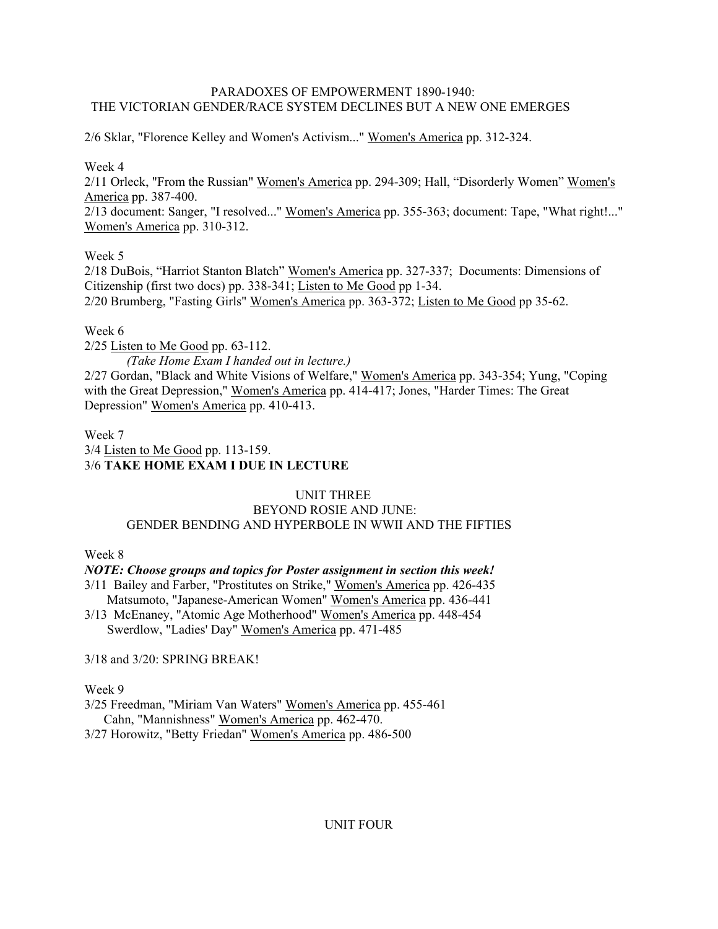# PARADOXES OF EMPOWERMENT 1890-1940: THE VICTORIAN GENDER/RACE SYSTEM DECLINES BUT A NEW ONE EMERGES

2/6 Sklar, "Florence Kelley and Women's Activism..." Women's America pp. 312-324.

# Week 4

2/11 Orleck, "From the Russian" Women's America pp. 294-309; Hall, "Disorderly Women" Women's America pp. 387-400.

2/13 document: Sanger, "I resolved..." Women's America pp. 355-363; document: Tape, "What right!..." Women's America pp. 310-312.

# Week 5

2/18 DuBois, "Harriot Stanton Blatch" Women's America pp. 327-337; Documents: Dimensions of Citizenship (first two docs) pp. 338-341; Listen to Me Good pp 1-34. 2/20 Brumberg, "Fasting Girls" Women's America pp. 363-372; Listen to Me Good pp 35-62.

# Week 6

2/25 Listen to Me Good pp. 63-112.

*(Take Home Exam I handed out in lecture.)*  2/27 Gordan, "Black and White Visions of Welfare," Women's America pp. 343-354; Yung, "Coping with the Great Depression," Women's America pp. 414-417; Jones, "Harder Times: The Great Depression" Women's America pp. 410-413.

# Week 7 3/4 Listen to Me Good pp. 113-159. 3/6 **TAKE HOME EXAM I DUE IN LECTURE**

## UNIT THREE

# BEYOND ROSIE AND JUNE: GENDER BENDING AND HYPERBOLE IN WWII AND THE FIFTIES

## Week 8

# *NOTE: Choose groups and topics for Poster assignment in section this week!*

- 3/11 Bailey and Farber, "Prostitutes on Strike," Women's America pp. 426-435 Matsumoto, "Japanese-American Women" Women's America pp. 436-441
- 3/13 McEnaney, "Atomic Age Motherhood" Women's America pp. 448-454 Swerdlow, "Ladies' Day" Women's America pp. 471-485

3/18 and 3/20: SPRING BREAK!

## Week 9

- 3/25 Freedman, "Miriam Van Waters" Women's America pp. 455-461 Cahn, "Mannishness" Women's America pp. 462-470.
- 3/27 Horowitz, "Betty Friedan" Women's America pp. 486-500